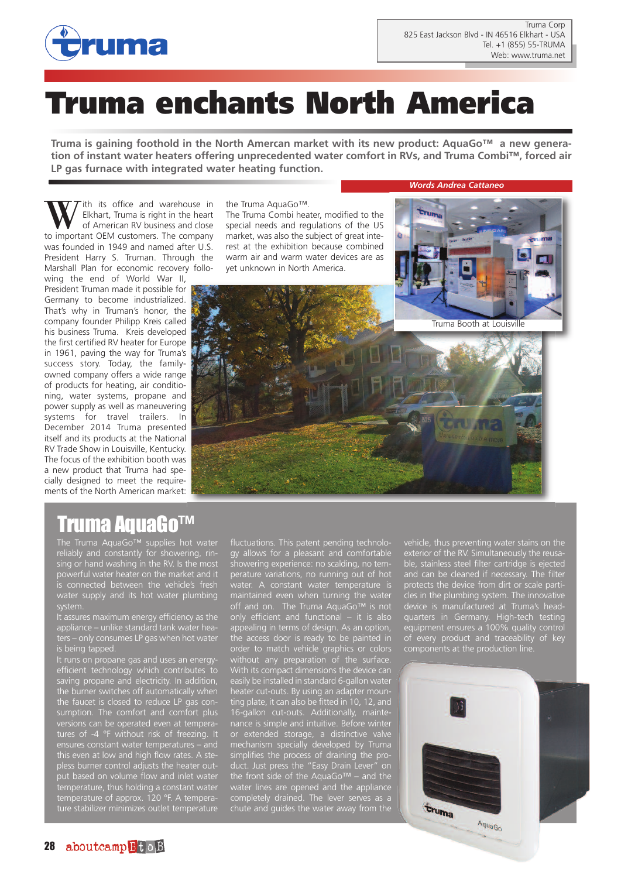

# **Truma enchants North America**

**Truma is gaining foothold in the North Amercan market with its new product: AquaGo™ a new generation of instant water heaters offering unprecedented water comfort in RVs, and Truma Combi™, forced air LP gas furnace with integrated water heating function.**

W ith its office and warehouse in<br>Elkhart, Truma is right in the heart<br>of American RV business and close Elkhart, Truma is right in the heart of American RV business and close to important OEM customers. The company was founded in 1949 and named after U.S. President Harry S. Truman. Through the Marshall Plan for economic recovery follo-

wing the end of World War II, President Truman made it possible for Germany to become industrialized. That's why in Truman's honor, the company founder Philipp Kreis called his business Truma. Kreis developed the first certified RV heater for Europe in 1961, paving the way for Truma's success story. Today, the familyowned company offers a wide range of products for heating, air conditioning, water systems, propane and power supply as well as maneuvering systems for travel trailers. In December 2014 Truma presented itself and its products at the National RV Trade Show in Louisville, Kentucky. The focus of the exhibition booth was a new product that Truma had specially designed to meet the requirements of the North American market:

the Truma AquaGo™.

The Truma Combi heater, modified to the special needs and regulations of the US market, was also the subject of great interest at the exhibition because combined warm air and warm water devices are as yet unknown in North America.





### Truma AquaGo™

The Truma AquaGo™ supplies hot water reliably and constantly for showering, rinsing or hand washing in the RV. Is the most powerful water heater on the market and it is connected between the vehicle's fresh water supply and its hot water plumbing system.

It assures maximum energy efficiency as the appliance – unlike standard tank water heaters – only consumes LP gas when hot water is being tapped.

It runs on propane gas and uses an energyefficient technology which contributes to saving propane and electricity. In addition, the burner switches off automatically when the faucet is closed to reduce LP gas consumption. The comfort and comfort plus ensures constant water temperatures – and this even at low and high flow rates. A stepless burner control adjusts the heater output based on volume flow and inlet water temperature, thus holding a constant water ture stabilizer minimizes outlet temperature fluctuations. This patent pending technology allows for a pleasant and comfortable showering experience: no scalding, no temperature variations, no running out of hot off and on. The Truma AquaGo™ is not only efficient and functional – it is also appealing in terms of design. As an option, order to match vehicle graphics or colors without any preparation of the surface. With its compact dimensions the device can easily be installed in standard 6-gallon water heater cut-outs. By using an adapter mounting plate, it can also be fitted in 10, 12, and 16-gallon cut-outs. Additionally, maintenance is simple and intuitive. Before winter or extended storage, a distinctive valve mechanism specially developed by Truma simplifies the process of draining the product. Just press the "Easy Drain Lever" on the front side of the AquaGo™ – and the water lines are opened and the appliance completely drained. The lever serves as a chute and guides the water away from the

vehicle, thus preventing water stains on the exterior of the RV. Simultaneously the reusable, stainless steel filter cartridge is ejected and can be cleaned if necessary. The filter protects the device from dirt or scale particles in the plumbing system. The innovative device is manufactured at Truma's headquarters in Germany. High-tech testing equipment ensures a 100% quality control of every product and traceability of key components at the production line.